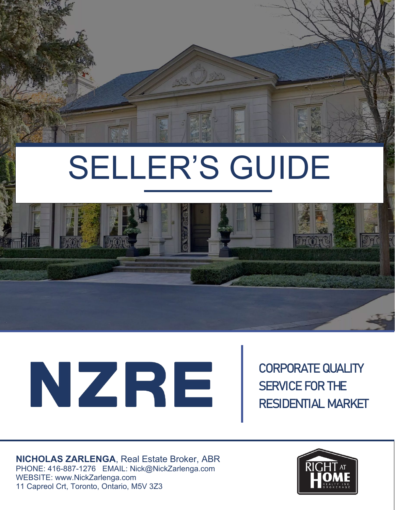

## SELLER'S GUIDE



# NZRE

CORPORATE QUALITY SERVICE FOR THE RESIDENTIAL MARKET

**NICHOLAS ZARLENGA**, Real Estate Broker, ABR PHONE: 416-887-1276 EMAIL: Nick@NickZarlenga.com WEBSITE: www.NickZarlenga.com 11 Capreol Crt, Toronto, Ontario, M5V 3Z3

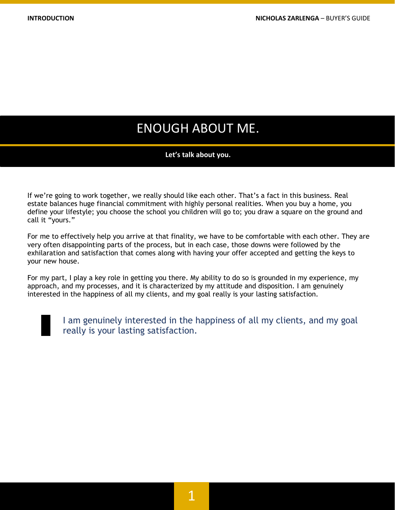## ENOUGH ABOUT ME.

#### **Let's talk about you.**

If we're going to work together, we really should like each other. That's a fact in this business. Real estate balances huge financial commitment with highly personal realities. When you buy a home, you define your lifestyle; you choose the school you children will go to; you draw a square on the ground and call it "yours."

For me to effectively help you arrive at that finality, we have to be comfortable with each other. They are very often disappointing parts of the process, but in each case, those downs were followed by the exhilaration and satisfaction that comes along with having your offer accepted and getting the keys to your new house.

For my part, I play a key role in getting you there. My ability to do so is grounded in my experience, my approach, and my processes, and it is characterized by my attitude and disposition. I am genuinely interested in the happiness of all my clients, and my goal really is your lasting satisfaction.



I am genuinely interested in the happiness of all my clients, and my goal really is your lasting satisfaction.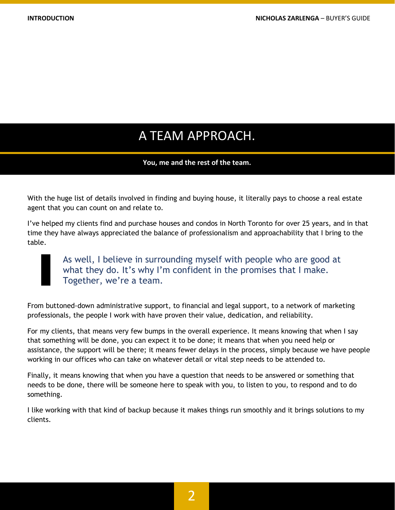## A TEAM APPROACH.

#### **You, me and the rest of the team.**

With the huge list of details involved in finding and buying house, it literally pays to choose a real estate agent that you can count on and relate to.

I've helped my clients find and purchase houses and condos in North Toronto for over 25 years, and in that time they have always appreciated the balance of professionalism and approachability that I bring to the table.

> As well, I believe in surrounding myself with people who are good at what they do. It's why I'm confident in the promises that I make. Together, we're a team.

From buttoned-down administrative support, to financial and legal support, to a network of marketing professionals, the people I work with have proven their value, dedication, and reliability.

For my clients, that means very few bumps in the overall experience. It means knowing that when I say that something will be done, you can expect it to be done; it means that when you need help or assistance, the support will be there; it means fewer delays in the process, simply because we have people working in our offices who can take on whatever detail or vital step needs to be attended to.

Finally, it means knowing that when you have a question that needs to be answered or something that needs to be done, there will be someone here to speak with you, to listen to you, to respond and to do something.

I like working with that kind of backup because it makes things run smoothly and it brings solutions to my clients.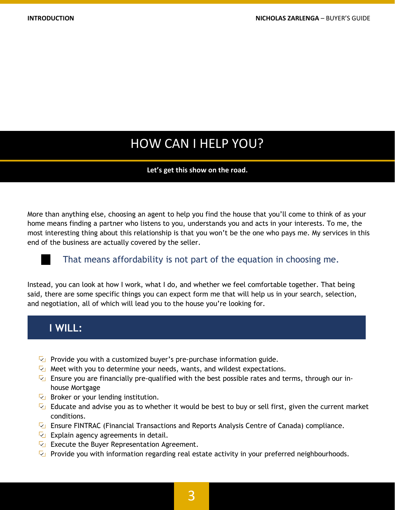## HOW CAN I HELP YOU?

#### **Let's get this show on the road.**

More than anything else, choosing an agent to help you find the house that you'll come to think of as your home means finding a partner who listens to you, understands you and acts in your interests. To me, the most interesting thing about this relationship is that you won't be the one who pays me. My services in this end of the business are actually covered by the seller.

#### That means affordability is not part of the equation in choosing me.

Instead, you can look at how I work, what I do, and whether we feel comfortable together. That being said, there are some specific things you can expect form me that will help us in your search, selection, and negotiation, all of which will lead you to the house you're looking for.

#### **I WILL:**

- $\triangledown$  Provide you with a customized buyer's pre-purchase information guide.
- Meet with you to determine your needs, wants, and wildest expectations.
- **E** Ensure you are financially pre-qualified with the best possible rates and terms, through our inhouse Mortgage
- $\overline{\mathbb{Z}}$  Broker or your lending institution.
- Educate and advise you as to whether it would be best to buy or sell first, given the current market conditions.
- **Example FINTRAC** (Financial Transactions and Reports Analysis Centre of Canada) compliance.
- $\overline{\mathbb{Z}}$  Explain agency agreements in detail.
- $\overline{\mathbb{Z}}$  Execute the Buyer Representation Agreement.
- **P** Provide you with information regarding real estate activity in your preferred neighbourhoods.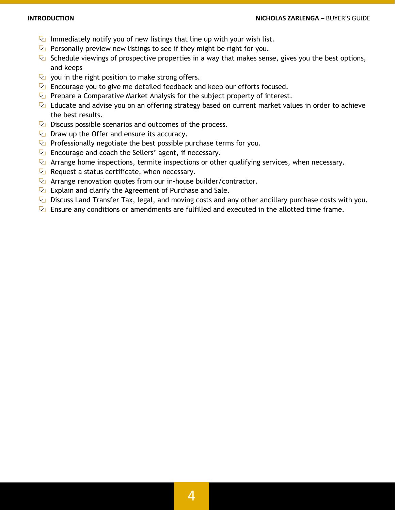- Immediately notify you of new listings that line up with your wish list.
- $\nabla$  Personally preview new listings to see if they might be right for you.
- $\triangledown$  Schedule viewings of prospective properties in a way that makes sense, gives you the best options, and keeps
- $\overline{V}$  you in the right position to make strong offers.
- $\overline{Q}$  Encourage you to give me detailed feedback and keep our efforts focused.
- Prepare a Comparative Market Analysis for the subject property of interest.
- $\triangledown$  Educate and advise you on an offering strategy based on current market values in order to achieve the best results.
- $\overline{\mathbb{Z}}$  Discuss possible scenarios and outcomes of the process.
- $\overline{V}$  Draw up the Offer and ensure its accuracy.
- $\triangledown$  Professionally negotiate the best possible purchase terms for you.
- $\overline{V}$  Encourage and coach the Sellers' agent, if necessary.
- $\triangledown$  Arrange home inspections, termite inspections or other qualifying services, when necessary.
- $\nabla$  Request a status certificate, when necessary.
- $\sqrt{2}$  Arrange renovation quotes from our in-house builder/contractor.
- $\overline{\mathbb{Z}}$  Explain and clarify the Agreement of Purchase and Sale.
- $\triangledown$  Discuss Land Transfer Tax, legal, and moving costs and any other ancillary purchase costs with you.
- **E** Ensure any conditions or amendments are fulfilled and executed in the allotted time frame.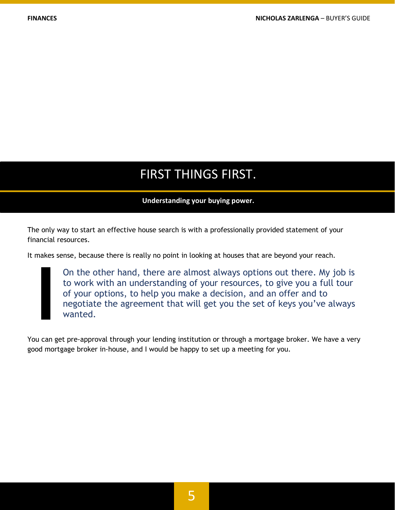## FIRST THINGS FIRST.

#### **Understanding your buying power.**

The only way to start an effective house search is with a professionally provided statement of your financial resources.

It makes sense, because there is really no point in looking at houses that are beyond your reach.

On the other hand, there are almost always options out there. My job is to work with an understanding of your resources, to give you a full tour of your options, to help you make a decision, and an offer and to negotiate the agreement that will get you the set of keys you've always wanted.

You can get pre-approval through your lending institution or through a mortgage broker. We have a very good mortgage broker in-house, and I would be happy to set up a meeting for you.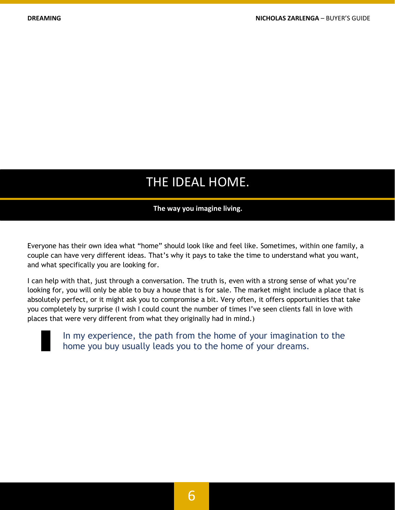## THE IDEAL HOME.

#### **The way you imagine living.**

Everyone has their own idea what "home" should look like and feel like. Sometimes, within one family, a couple can have very different ideas. That's why it pays to take the time to understand what you want, and what specifically you are looking for.

I can help with that, just through a conversation. The truth is, even with a strong sense of what you're looking for, you will only be able to buy a house that is for sale. The market might include a place that is absolutely perfect, or it might ask you to compromise a bit. Very often, it offers opportunities that take you completely by surprise (I wish I could count the number of times I've seen clients fall in love with places that were very different from what they originally had in mind.)



In my experience, the path from the home of your imagination to the home you buy usually leads you to the home of your dreams.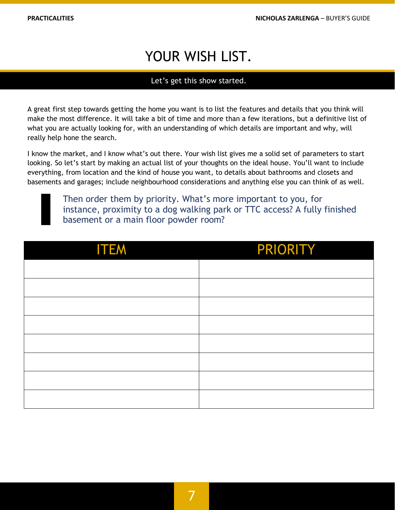## YOUR WISH LIST.

#### Let's get this show started.

A great first step towards getting the home you want is to list the features and details that you think will make the most difference. It will take a bit of time and more than a few iterations, but a definitive list of what you are actually looking for, with an understanding of which details are important and why, will really help hone the search.

I know the market, and I know what's out there. Your wish list gives me a solid set of parameters to start looking. So let's start by making an actual list of your thoughts on the ideal house. You'll want to include everything, from location and the kind of house you want, to details about bathrooms and closets and basements and garages; include neighbourhood considerations and anything else you can think of as well.

Then order them by priority. What's more important to you, for instance, proximity to a dog walking park or TTC access? A fully finished basement or a main floor powder room?

| <b>ITEM</b> | PRIORITY |
|-------------|----------|
|             |          |
|             |          |
|             |          |
|             |          |
|             |          |
|             |          |
|             |          |
|             |          |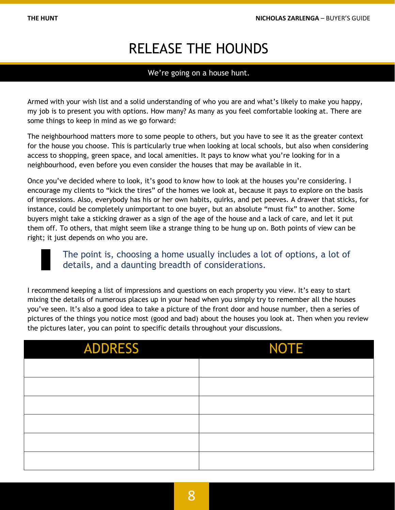## RELEASE THE HOUNDS

#### We're going on a house hunt.

Armed with your wish list and a solid understanding of who you are and what's likely to make you happy, my job is to present you with options. How many? As many as you feel comfortable looking at. There are some things to keep in mind as we go forward:

The neighbourhood matters more to some people to others, but you have to see it as the greater context for the house you choose. This is particularly true when looking at local schools, but also when considering access to shopping, green space, and local amenities. It pays to know what you're looking for in a neighbourhood, even before you even consider the houses that may be available in it.

Once you've decided where to look, it's good to know how to look at the houses you're considering. I encourage my clients to "kick the tires" of the homes we look at, because it pays to explore on the basis of impressions. Also, everybody has his or her own habits, quirks, and pet peeves. A drawer that sticks, for instance, could be completely unimportant to one buyer, but an absolute "must fix" to another. Some buyers might take a sticking drawer as a sign of the age of the house and a lack of care, and let it put them off. To others, that might seem like a strange thing to be hung up on. Both points of view can be right; it just depends on who you are.



#### The point is, choosing a home usually includes a lot of options, a lot of details, and a daunting breadth of considerations.

I recommend keeping a list of impressions and questions on each property you view. It's easy to start mixing the details of numerous places up in your head when you simply try to remember all the houses you've seen. It's also a good idea to take a picture of the front door and house number, then a series of pictures of the things you notice most (good and bad) about the houses you look at. Then when you review the pictures later, you can point to specific details throughout your discussions.

| <b>ADDRESS</b> | <b>NOTE</b> |
|----------------|-------------|
|                |             |
|                |             |
|                |             |
|                |             |
|                |             |
|                |             |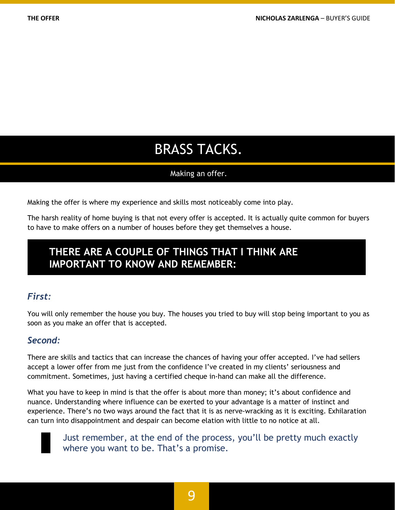## BRASS TACKS.

#### Making an offer.

Making the offer is where my experience and skills most noticeably come into play.

The harsh reality of home buying is that not every offer is accepted. It is actually quite common for buyers to have to make offers on a number of houses before they get themselves a house.

### **THERE ARE A COUPLE OF THINGS THAT I THINK ARE IMPORTANT TO KNOW AND REMEMBER:**

#### *First:*

You will only remember the house you buy. The houses you tried to buy will stop being important to you as soon as you make an offer that is accepted.

#### *Second:*

There are skills and tactics that can increase the chances of having your offer accepted. I've had sellers accept a lower offer from me just from the confidence I've created in my clients' seriousness and commitment. Sometimes, just having a certified cheque in-hand can make all the difference.

What you have to keep in mind is that the offer is about more than money; it's about confidence and nuance. Understanding where influence can be exerted to your advantage is a matter of instinct and experience. There's no two ways around the fact that it is as nerve-wracking as it is exciting. Exhilaration can turn into disappointment and despair can become elation with little to no notice at all.



Just remember, at the end of the process, you'll be pretty much exactly where you want to be. That's a promise.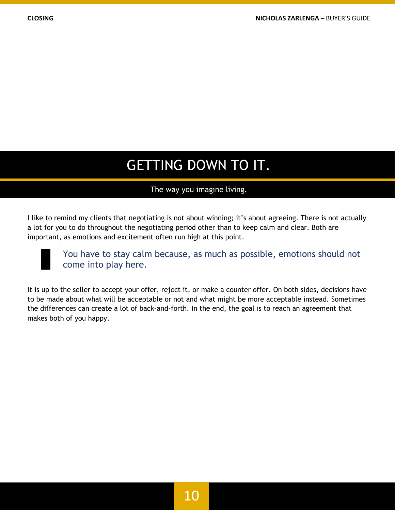## GETTING DOWN TO IT.

#### The way you imagine living.

I like to remind my clients that negotiating is not about winning; it's about agreeing. There is not actually a lot for you to do throughout the negotiating period other than to keep calm and clear. Both are important, as emotions and excitement often run high at this point.



You have to stay calm because, as much as possible, emotions should not come into play here.

It is up to the seller to accept your offer, reject it, or make a counter offer. On both sides, decisions have to be made about what will be acceptable or not and what might be more acceptable instead. Sometimes the differences can create a lot of back-and-forth. In the end, the goal is to reach an agreement that makes both of you happy.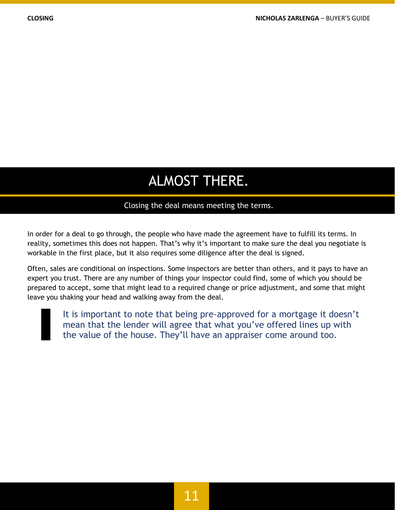## ALMOST THERE.

#### Closing the deal means meeting the terms.

In order for a deal to go through, the people who have made the agreement have to fulfill its terms. In reality, sometimes this does not happen. That's why it's important to make sure the deal you negotiate is workable in the first place, but it also requires some diligence after the deal is signed.

Often, sales are conditional on inspections. Some inspectors are better than others, and it pays to have an expert you trust. There are any number of things your inspector could find, some of which you should be prepared to accept, some that might lead to a required change or price adjustment, and some that might leave you shaking your head and walking away from the deal.



It is important to note that being pre-approved for a mortgage it doesn't mean that the lender will agree that what you've offered lines up with the value of the house. They'll have an appraiser come around too.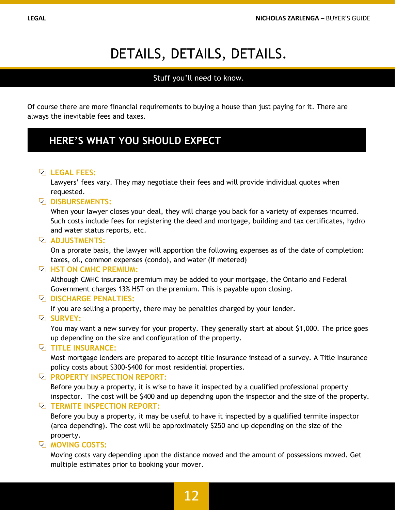## DETAILS, DETAILS, DETAILS.

#### Stuff you'll need to know.

Of course there are more financial requirements to buying a house than just paying for it. There are always the inevitable fees and taxes.

## **HERE'S WHAT YOU SHOULD EXPECT**

#### **LEGAL FEES:**

Lawyers' fees vary. They may negotiate their fees and will provide individual quotes when requested.

#### **DISBURSEMENTS:**

When your lawyer closes your deal, they will charge you back for a variety of expenses incurred. Such costs include fees for registering the deed and mortgage, building and tax certificates, hydro and water status reports, etc.

#### **<u><b>ADJUSTMENTS:**</u>

On a prorate basis, the lawyer will apportion the following expenses as of the date of completion: taxes, oil, common expenses (condo), and water (if metered)

#### **E HST ON CMHC PREMIUM:**

Although CMHC insurance premium may be added to your mortgage, the Ontario and Federal Government charges 13% HST on the premium. This is payable upon closing.

#### **DISCHARGE PENALTIES:**

If you are selling a property, there may be penalties charged by your lender.

#### **VSURVEY:**

You may want a new survey for your property. They generally start at about \$1,000. The price goes up depending on the size and configuration of the property.

#### **TITLE INSURANCE:**

Most mortgage lenders are prepared to accept title insurance instead of a survey. A Title Insurance policy costs about \$300-\$400 for most residential properties.

#### **PROPERTY INSPECTION REPORT:**

Before you buy a property, it is wise to have it inspected by a qualified professional property inspector. The cost will be \$400 and up depending upon the inspector and the size of the property.

#### **TERMITE INSPECTION REPORT:**

Before you buy a property, it may be useful to have it inspected by a qualified termite inspector (area depending). The cost will be approximately \$250 and up depending on the size of the property.

#### **MOVING COSTS:**

Moving costs vary depending upon the distance moved and the amount of possessions moved. Get multiple estimates prior to booking your mover.

## 12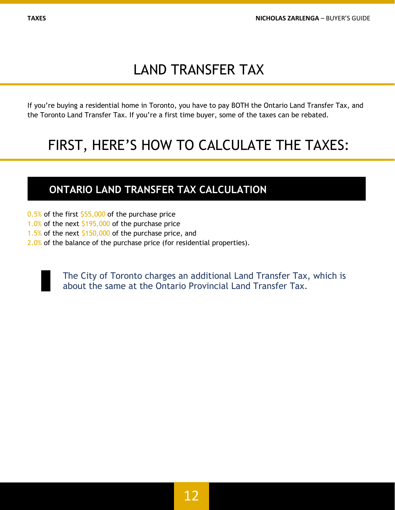## LAND TRANSFER TAX

If you're buying a residential home in Toronto, you have to pay BOTH the Ontario Land Transfer Tax, and the Toronto Land Transfer Tax. If you're a first time buyer, some of the taxes can be rebated.

## FIRST, HERE'S HOW TO CALCULATE THE TAXES:

## **ONTARIO LAND TRANSFER TAX CALCULATION**

 $0.5%$  of the first \$55,000 of the purchase price

- 1.0% of the next \$195,000 of the purchase price
- 1.5% of the next \$150,000 of the purchase price, and
- 2.0% of the balance of the purchase price (for residential properties).

The City of Toronto charges an additional Land Transfer Tax, which is about the same at the Ontario Provincial Land Transfer Tax.